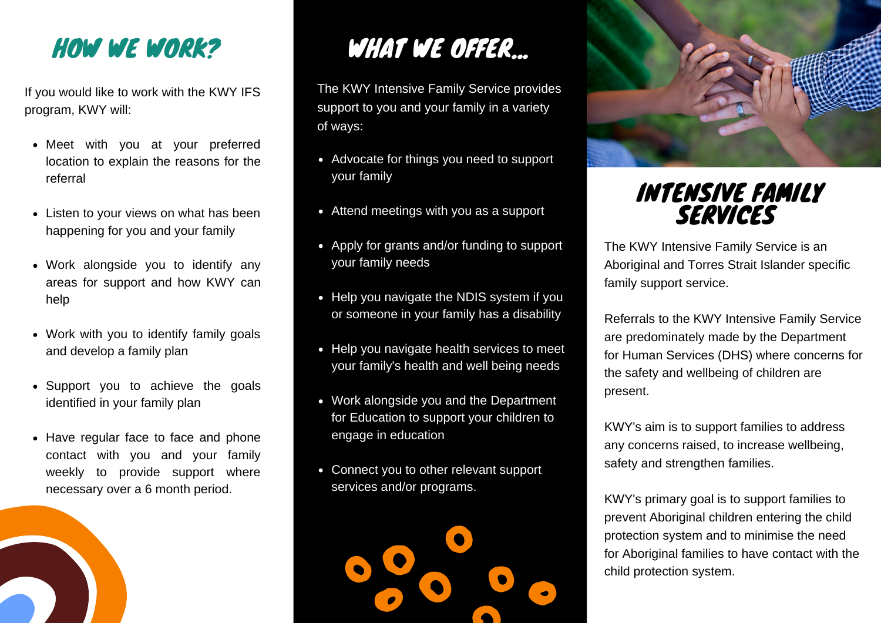HOW WE WORK?

If you would like to work with the KWY IFS program, KWY will:

- Meet with you at your preferred location to explain the reasons for the referral
- Listen to your views on what has been happening for you and your family
- Work alongside you to identify any areas for support and how KWY can help
- Work with you to identify family goals and develop a family plan
- Support you to achieve the goals identified in your family plan
- Have regular face to face and phone contact with you and your family weekly to provide support where necessary over a 6 month period.



## WHAT WE OFFER...

The KWY Intensive Family Service provides support to you and your family in a variety of ways:

- Advocate for things you need to support your family
- Attend meetings with you as a support
- Apply for grants and/or funding to support your family needs
- Help you navigate the NDIS system if you or someone in your family has a disability
- Help you navigate health services to meet your family's health and well being needs
- Work alongside you and the Department for Education to support your children to engage in education
- Connect you to other relevant support services and/or programs.





## INTENSIVE FAMILY SERVICES

The KWY Intensive Family Service is an Aboriginal and Torres Strait Islander specific family support service.

Referrals to the KWY Intensive Family Service are predominately made by the Department for Human Services (DHS) where concerns for the safety and wellbeing of children are present.

KWY's aim is to support families to address any concerns raised, to increase wellbeing, safety and strengthen families.

KWY's primary goal is to support families to prevent Aboriginal children entering the child protection system and to minimise the need for Aboriginal families to have contact with the child protection system.